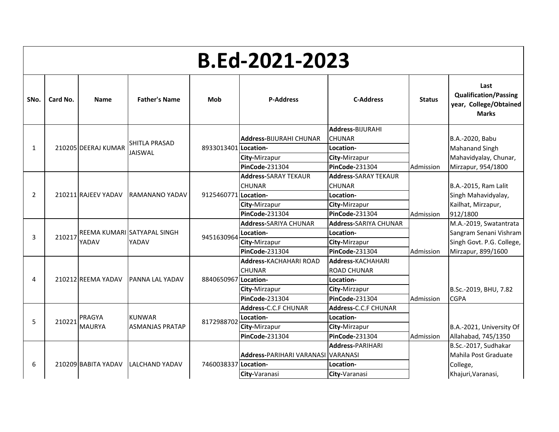|              | B.Ed-2021-2023 |                     |                             |                      |                                                |                                        |               |                                                                                |  |  |  |  |
|--------------|----------------|---------------------|-----------------------------|----------------------|------------------------------------------------|----------------------------------------|---------------|--------------------------------------------------------------------------------|--|--|--|--|
| SNo.         | Card No.       | <b>Name</b>         | <b>Father's Name</b>        | Mob                  | <b>P-Address</b>                               | <b>C-Address</b>                       | <b>Status</b> | Last<br><b>Qualification/Passing</b><br>year, College/Obtained<br><b>Marks</b> |  |  |  |  |
|              |                |                     |                             |                      |                                                | <b>Address-BIJURAHI</b>                |               |                                                                                |  |  |  |  |
|              |                |                     | SHITLA PRASAD               |                      | <b>Address-BIJURAHI CHUNAR</b>                 | <b>CHUNAR</b>                          |               | B.A.-2020, Babu                                                                |  |  |  |  |
| $\mathbf{1}$ |                | 210205 DEERAJ KUMAR | <b>JAISWAL</b>              | 8933013401 Location- |                                                | Location-                              |               | Mahanand Singh                                                                 |  |  |  |  |
|              |                |                     |                             |                      | City-Mirzapur                                  | City-Mirzapur                          |               | Mahavidyalay, Chunar,                                                          |  |  |  |  |
|              |                |                     |                             |                      | <b>PinCode-231304</b>                          | PinCode-231304                         | Admission     | Mirzapur, 954/1800                                                             |  |  |  |  |
|              |                |                     |                             |                      | <b>Address-</b> SARAY TEKAUR                   | <b>Address-SARAY TEKAUR</b>            |               |                                                                                |  |  |  |  |
|              |                |                     |                             |                      | <b>CHUNAR</b>                                  | <b>CHUNAR</b>                          |               | B.A.-2015, Ram Lalit                                                           |  |  |  |  |
| 2            |                | 210211 RAJEEV YADAV | IRAMANANO YADAV             | 9125460771 Location- |                                                | Location-                              |               | Singh Mahavidyalay,                                                            |  |  |  |  |
|              |                |                     |                             |                      | City-Mirzapur                                  | City-Mirzapur                          |               | Kailhat, Mirzapur,                                                             |  |  |  |  |
|              |                |                     |                             |                      | PinCode-231304                                 | <b>PinCode-231304</b>                  | Admission     | 912/1800                                                                       |  |  |  |  |
|              |                |                     |                             |                      | <b>Address-SARIYA CHUNAR</b>                   | <b>Address-SARIYA CHUNAR</b>           |               | M.A.-2019, Swatantrata                                                         |  |  |  |  |
| 3            | 210217         |                     | REEMA KUMARI SATYAPAL SINGH | 9451630964           | Location-                                      | Location-                              |               | Sangram Senani Vishram                                                         |  |  |  |  |
|              |                | YADAV               | YADAV                       |                      | City-Mirzapur                                  | City-Mirzapur                          |               | Singh Govt. P.G. College,                                                      |  |  |  |  |
|              |                |                     |                             |                      | PinCode-231304                                 | PinCode-231304                         | Admission     | Mirzapur, 899/1600                                                             |  |  |  |  |
|              |                |                     |                             |                      | <b>Address-KACHAHARI ROAD</b><br><b>CHUNAR</b> | <b>Address-KACHAHARI</b>               |               |                                                                                |  |  |  |  |
| 4            |                | 210212 REEMA YADAV  |                             | 8840650967           | Location-                                      | <b>ROAD CHUNAR</b>                     |               |                                                                                |  |  |  |  |
|              |                |                     | IPANNA LAL YADAV            |                      |                                                | Location-                              |               | B.Sc.-2019, BHU, 7.82                                                          |  |  |  |  |
|              |                |                     |                             |                      | City-Mirzapur<br><b>PinCode-231304</b>         | City-Mirzapur<br><b>PinCode-231304</b> | Admission     | <b>CGPA</b>                                                                    |  |  |  |  |
|              |                |                     |                             |                      | Address-C.C.F CHUNAR                           | Address-C.C.F CHUNAR                   |               |                                                                                |  |  |  |  |
|              |                | PRAGYA              | <b>KUNWAR</b>               |                      | Location-                                      | Location-                              |               |                                                                                |  |  |  |  |
| 5            | 210221         | <b>MAURYA</b>       | <b>ASMANJAS PRATAP</b>      | 8172988702           | City-Mirzapur                                  | City-Mirzapur                          |               | B.A.-2021, University Of                                                       |  |  |  |  |
|              |                |                     |                             |                      | PinCode-231304                                 | PinCode-231304                         | Admission     | Allahabad, 745/1350                                                            |  |  |  |  |
|              |                |                     |                             |                      |                                                | <b>Address-PARIHARI</b>                |               | B.Sc.-2017, Sudhakar                                                           |  |  |  |  |
|              |                |                     |                             |                      | Address-PARIHARI VARANASI VARANASI             |                                        |               | Mahila Post Graduate                                                           |  |  |  |  |
| 6            |                | 210209 BABITA YADAV | LALCHAND YADAV              | 7460038337 Location- |                                                | Location-                              |               | College,                                                                       |  |  |  |  |
|              |                |                     |                             |                      | City-Varanasi                                  | City-Varanasi                          |               | Khajuri, Varanasi,                                                             |  |  |  |  |
|              |                |                     |                             |                      |                                                |                                        |               |                                                                                |  |  |  |  |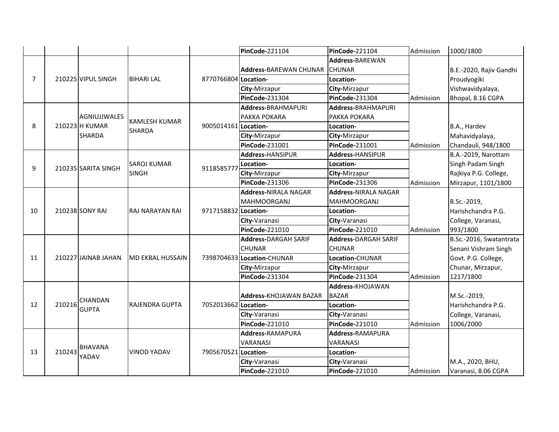|                |        |                     |                        |                      | <b>PinCode-221104</b>         | <b>PinCode-221104</b>        | Admission | 1000/1800               |
|----------------|--------|---------------------|------------------------|----------------------|-------------------------------|------------------------------|-----------|-------------------------|
|                |        |                     |                        |                      |                               | Address-BAREWAN              |           |                         |
|                |        |                     |                        |                      | <b>Address-BAREWAN CHUNAR</b> | <b>CHUNAR</b>                |           | B.E.-2020, Rajiv Gandhi |
| $\overline{7}$ |        | 210225 VIPUL SINGH  | <b>BIHARI LAL</b>      | 8770766804 Location- |                               | Location-                    |           | Proudyogiki             |
|                |        |                     |                        |                      | City-Mirzapur                 | City-Mirzapur                |           | Vishwavidyalaya,        |
|                |        |                     |                        |                      | PinCode-231304                | <b>PinCode-231304</b>        | Admission | Bhopal, 8.16 CGPA       |
|                |        |                     |                        |                      | <b>Address-BRAHMAPURI</b>     | <b>Address-BRAHMAPURI</b>    |           |                         |
|                |        | <b>AGNIUJJWALES</b> | <b>KAMLESH KUMAR</b>   |                      | PAKKA POKARA                  | PAKKA POKARA                 |           |                         |
| 8              |        | 210223 H KUMAR      | <b>SHARDA</b>          | 9005014161 Location- |                               | Location-                    |           | B.A., Hardev            |
|                |        | SHARDA              |                        |                      | City-Mirzapur                 | City-Mirzapur                |           | Mahavidyalaya,          |
|                |        |                     |                        |                      | PinCode-231001                | <b>PinCode-231001</b>        | Admission | Chandauli, 948/1800     |
|                |        |                     |                        |                      | Address-HANSIPUR              | Address-HANSIPUR             |           | B.A.-2019, Narottam     |
| 9              |        | 210235 SARITA SINGH | <b>SAROJ KUMAR</b>     | 9118585777           | Location-                     | Location-                    |           | Singh Padam Singh       |
|                |        |                     | <b>SINGH</b>           |                      | City-Mirzapur                 | City-Mirzapur                |           | Rajkiya P.G. College,   |
|                |        |                     |                        |                      | PinCode-231306                | PinCode-231306               | Admission | Mirzapur, 1101/1800     |
|                |        |                     |                        |                      | <b>Address-NIRALA NAGAR</b>   | <b>Address-NIRALA NAGAR</b>  |           |                         |
|                |        |                     |                        |                      | <b>MAHMOORGANJ</b>            | <b>MAHMOORGANJ</b>           |           | B.Sc.-2019,             |
| 10             |        | 210238 SONY RAI     | <b>RAJ NARAYAN RAI</b> | 9717158832 Location- |                               | Location-                    |           | Harishchandra P.G.      |
|                |        |                     |                        |                      | City-Varanasi                 | City-Varanasi                |           | College, Varanasi,      |
|                |        |                     |                        |                      | PinCode-221010                | <b>PinCode-221010</b>        | Admission | 993/1800                |
|                |        |                     |                        |                      | <b>Address-DARGAH SARIF</b>   | <b>Address-</b> DARGAH SARIF |           | B.Sc.-2016, Swatantrata |
|                |        |                     |                        |                      | <b>CHUNAR</b>                 | <b>CHUNAR</b>                |           | Senani Vishram Singh    |
| 11             |        | 210227 JAINAB JAHAN | MD EKBAL HUSSAIN       |                      | 7398704633 Location-CHUNAR    | Location-CHUNAR              |           | Govt. P.G. College,     |
|                |        |                     |                        |                      | City-Mirzapur                 | City-Mirzapur                |           | Chunar, Mirzapur,       |
|                |        |                     |                        |                      | PinCode-231304                | <b>PinCode-231304</b>        | Admission | 1217/1800               |
|                |        |                     |                        |                      |                               | Address-KHOJAWAN             |           |                         |
|                |        | CHANDAN             |                        |                      | <b>Address-KHOJAWAN BAZAR</b> | <b>BAZAR</b>                 |           | M.Sc.-2019,             |
| 12             | 210216 | <b>GUPTA</b>        | RAJENDRA GUPTA         | 7052013662 Location- |                               | Location-                    |           | Harishchandra P.G.      |
|                |        |                     |                        |                      | City-Varanasi                 | City-Varanasi                |           | College, Varanasi,      |
|                |        |                     |                        |                      | PinCode-221010                | PinCode-221010               | Admission | 1006/2000               |
|                |        |                     |                        |                      | Address-RAMAPURA              | Address-RAMAPURA             |           |                         |
|                |        | <b>BHAVANA</b>      |                        |                      | VARANASI                      | <b>VARANASI</b>              |           |                         |
| 13             | 210243 | YADAV               | <b>VINOD YADAV</b>     | 7905670521 Location- |                               | Location-                    |           |                         |
|                |        |                     |                        |                      | City-Varanasi                 | City-Varanasi                |           | M.A., 2020, BHU,        |
|                |        |                     |                        |                      | PinCode-221010                | PinCode-221010               | Admission | Varanasi, 8.06 CGPA     |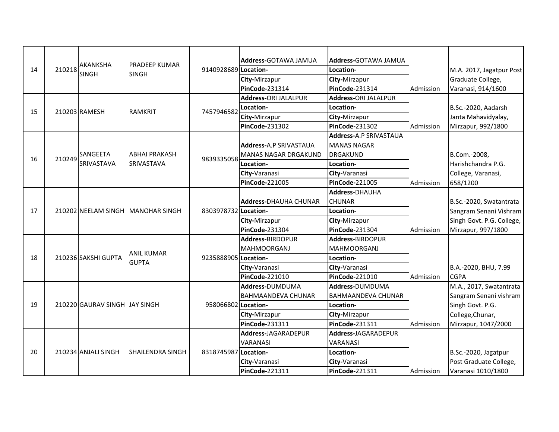| 14 | 210218 | <b>AKANKSHA</b><br><b>SINGH</b> | <b>PRADEEP KUMAR</b><br><b>SINGH</b> | 9140928689 Location- | <b>Address-GOTAWA JAMUA</b><br>City-Mirzapur<br><b>PinCode-231314</b><br>Address-ORI JALALPUR                | <b>Address-GOTAWA JAMUA</b><br>Location-<br>City-Mirzapur<br>PinCode-231314<br>Address-ORI JALALPUR             | Admission | M.A. 2017, Jagatpur Post<br>Graduate College,<br>Varanasi, 914/1600                                              |
|----|--------|---------------------------------|--------------------------------------|----------------------|--------------------------------------------------------------------------------------------------------------|-----------------------------------------------------------------------------------------------------------------|-----------|------------------------------------------------------------------------------------------------------------------|
| 15 |        | 210203 RAMESH                   | <b>RAMKRIT</b>                       | 7457946582           | Location-<br>City-Mirzapur<br><b>PinCode-231302</b>                                                          | Location-<br>City-Mirzapur<br><b>PinCode-231302</b>                                                             | Admission | B.Sc.-2020, Aadarsh<br>Janta Mahavidyalay,<br>Mirzapur, 992/1800                                                 |
| 16 | 210249 | SANGEETA<br>SRIVASTAVA          | <b>ABHAI PRAKASH</b><br>SRIVASTAVA   | 9839335058           | Address-A.P SRIVASTAUA<br><b>MANAS NAGAR DRGAKUND</b><br>Location-<br>City-Varanasi<br><b>PinCode-221005</b> | Address-A.P SRIVASTAUA<br><b>MANAS NAGAR</b><br><b>DRGAKUND</b><br>Location-<br>City-Varanasi<br>PinCode-221005 | Admission | B.Com.-2008,<br>Harishchandra P.G.<br>College, Varanasi,<br>658/1200                                             |
| 17 |        |                                 | 210202 NEELAM SINGH MANOHAR SINGH    | 8303978732 Location- | <b>Address-DHAUHA CHUNAR</b><br>City-Mirzapur<br><b>PinCode-231304</b>                                       | <b>Address-DHAUHA</b><br><b>CHUNAR</b><br>Location-<br>City-Mirzapur<br>PinCode-231304                          | Admission | B.Sc.-2020, Swatantrata<br>Sangram Senani Vishram<br>Singh Govt. P.G. College,<br>Mirzapur, 997/1800             |
| 18 |        | 210236 SAKSHI GUPTA             | <b>ANIL KUMAR</b><br><b>GUPTA</b>    | 9235888905 Location- | Address-BIRDOPUR<br><b>MAHMOORGANJ</b><br>City-Varanasi<br>PinCode-221010                                    | Address-BIRDOPUR<br><b>MAHMOORGANJ</b><br>Location-<br>City-Varanasi<br><b>PinCode-221010</b>                   | Admission | B.A.-2020, BHU, 7.99<br><b>CGPA</b>                                                                              |
| 19 |        | 210220 GAURAV SINGH JAY SINGH   |                                      | 958066802 Location-  | Address-DUMDUMA<br><b>BAHMAANDEVA CHUNAR</b><br>City-Mirzapur<br>PinCode-231311                              | Address-DUMDUMA<br><b>BAHMAANDEVA CHUNAR</b><br>Location-<br>City-Mirzapur<br><b>PinCode-231311</b>             | Admission | M.A., 2017, Swatantrata<br>Sangram Senani vishram<br>Singh Govt. P.G.<br>College, Chunar,<br>Mirzapur, 1047/2000 |
| 20 |        | 210234 ANJALI SINGH             | <b>SHAILENDRA SINGH</b>              | 8318745987           | Address-JAGARADEPUR<br><b>VARANASI</b><br>Location-<br>City-Varanasi<br><b>PinCode-221311</b>                | Address-JAGARADEPUR<br>VARANASI<br>Location-<br>City-Varanasi<br><b>PinCode-221311</b>                          | Admission | B.Sc.-2020, Jagatpur<br>Post Graduate College,<br>Varanasi 1010/1800                                             |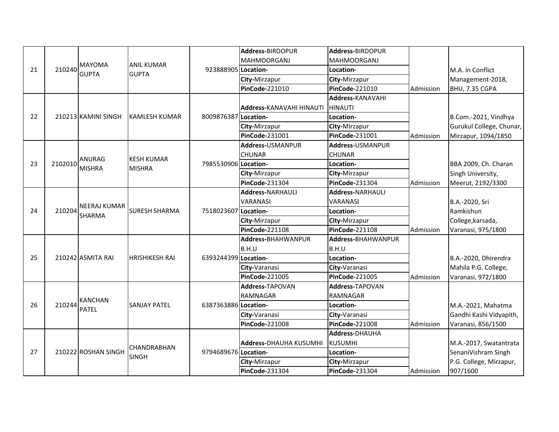|    |         |                                      |                       |                      | Address-BIRDOPUR                | Address-BIRDOPUR        |           |                          |
|----|---------|--------------------------------------|-----------------------|----------------------|---------------------------------|-------------------------|-----------|--------------------------|
| 21 | 210240  | <b>MAYOMA</b>                        |                       |                      | <b>MAHMOORGANJ</b>              | <b>MAHMOORGANJ</b>      |           |                          |
|    |         |                                      | <b>ANIL KUMAR</b>     | 923888905 Location-  |                                 | Location-               |           | M.A. in Conflict         |
|    |         | <b>GUPTA</b>                         | <b>GUPTA</b>          |                      | City-Mirzapur                   | City-Mirzapur           |           | Management-2018,         |
|    |         |                                      |                       |                      | <b>PinCode-221010</b>           | PinCode-221010          | Admission | BHU, 7.35 CGPA           |
|    |         |                                      |                       |                      |                                 | <b>Address-KANAVAHI</b> |           |                          |
|    |         |                                      |                       |                      | <b>Address-KANAVAHI HINAUTI</b> | <b>HINAUTI</b>          |           |                          |
| 22 |         | 210213 KAMINI SINGH                  | <b>KAMLESH KUMAR</b>  | 8009876387           | Location-                       | Location-               |           | B.Com.-2021, Vindhya     |
|    |         |                                      |                       |                      | City-Mirzapur                   | City-Mirzapur           |           | Gurukul College, Chunar, |
|    |         |                                      |                       |                      | <b>PinCode-231001</b>           | <b>PinCode-231001</b>   | Admission | Mirzapur, 1094/1850      |
|    |         |                                      |                       |                      | Address-USMANPUR                | Address-USMANPUR        |           |                          |
|    |         |                                      |                       |                      | <b>CHUNAR</b>                   | <b>CHUNAR</b>           |           |                          |
| 23 | 2102010 | <b>ANURAG</b>                        | <b>KESH KUMAR</b>     | 7985530906 Location- |                                 | Location-               |           | BBA 2009, Ch. Charan     |
|    |         | <b>MISHRA</b>                        | <b>MISHRA</b>         |                      | City-Mirzapur                   | City-Mirzapur           |           | Singh University,        |
|    |         |                                      |                       |                      | <b>PinCode-231304</b>           | PinCode-231304          | Admission | Meerut, 2192/3300        |
|    |         | <b>NEERAJ KUMAR</b><br><b>SHARMA</b> | <b>SURESH SHARMA</b>  | 7518023607           | <b>Address-NARHAULI</b>         | <b>Address-NARHAULI</b> |           |                          |
|    | 210204  |                                      |                       |                      | <b>VARANASI</b>                 | VARANASI                |           | B.A.-2020, Sri           |
| 24 |         |                                      |                       |                      | Location-                       | Location-               |           | Ramkishun                |
|    |         |                                      |                       |                      | City-Mirzapur                   | City-Mirzapur           |           | College, karsada,        |
|    |         |                                      |                       |                      | <b>PinCode-221108</b>           | <b>PinCode-221108</b>   | Admission | Varanasi, 975/1800       |
|    |         |                                      |                       |                      | Address-BHAHWANPUR              | Address-BHAHWANPUR      |           |                          |
|    |         |                                      |                       |                      | B.H.U                           | B.H.U                   |           |                          |
| 25 |         | 210242 ASMITA RAI                    | <b>HRISHIKESH RAI</b> | 6393244399 Location- |                                 | Location-               |           | B.A.-2020, Dhirendra     |
|    |         |                                      |                       |                      | City-Varanasi                   | City-Varanasi           |           | Mahila P.G. College,     |
|    |         |                                      |                       |                      | <b>PinCode-221005</b>           | PinCode-221005          | Admission | Varanasi, 972/1800       |
|    |         |                                      |                       |                      | Address-TAPOVAN                 | Address-TAPOVAN         |           |                          |
|    |         | <b>KANCHAN</b>                       |                       |                      | <b>RAMNAGAR</b>                 | <b>RAMNAGAR</b>         |           |                          |
| 26 | 210244  | <b>PATEL</b>                         | <b>SANJAY PATEL</b>   | 6387363886 Location- |                                 | Location-               |           | M.A.-2021, Mahatma       |
|    |         |                                      |                       |                      | City-Varanasi                   | City-Varanasi           |           | Gandhi Kashi Vidyapith,  |
|    |         |                                      |                       |                      | <b>PinCode-221008</b>           | <b>PinCode-221008</b>   | Admission | Varanasi, 856/1500       |
|    |         |                                      |                       |                      |                                 | Address-DHAUHA          |           |                          |
|    |         |                                      | CHANDRABHAN           |                      | <b>Address-DHAUHA KUSUMHI</b>   | <b>KUSUMHI</b>          |           | M.A.-2017, Swatantrata   |
| 27 |         | 210222 ROSHAN SINGH                  | <b>SINGH</b>          | 9794689676 Location- |                                 | Location-               |           | SenaniVishram Singh      |
|    |         |                                      |                       |                      | City-Mirzapur                   | City-Mirzapur           |           | P.G. College, Mirzapur,  |
|    |         |                                      |                       |                      | PinCode-231304                  | PinCode-231304          | Admission | 907/1600                 |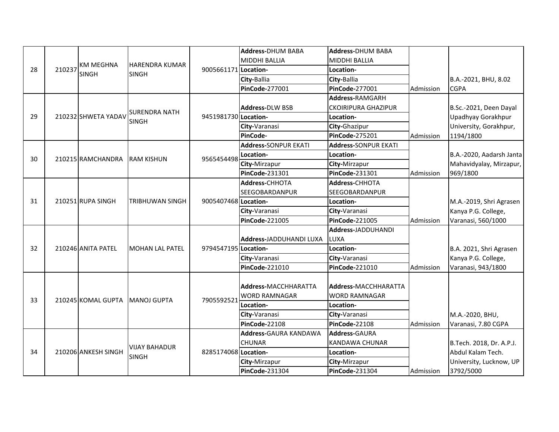|    |        |                     |                        |                      | <b>Address-DHUM BABA</b>    | <b>Address-DHUM BABA</b>    |           |                          |
|----|--------|---------------------|------------------------|----------------------|-----------------------------|-----------------------------|-----------|--------------------------|
|    |        | <b>KM MEGHNA</b>    | <b>HARENDRA KUMAR</b>  |                      | <b>MIDDHI BALLIA</b>        | <b>MIDDHI BALLIA</b>        |           |                          |
| 28 | 210237 | <b>SINGH</b>        | <b>SINGH</b>           | 9005661171 Location- |                             | Location-                   |           |                          |
|    |        |                     |                        |                      | City-Ballia                 | City-Ballia                 |           | B.A.-2021, BHU, 8.02     |
|    |        |                     |                        |                      | PinCode-277001              | <b>PinCode-277001</b>       | Admission | <b>CGPA</b>              |
|    |        |                     |                        |                      |                             | Address-RAMGARH             |           |                          |
|    |        |                     | <b>SURENDRA NATH</b>   |                      | <b>Address-DLW BSB</b>      | <b>CKOIRIPURA GHAZIPUR</b>  |           | B.Sc.-2021, Deen Dayal   |
| 29 |        | 210232 SHWETA YADAV | <b>SINGH</b>           | 9451981730 Location- |                             | Location-                   |           | Upadhyay Gorakhpur       |
|    |        |                     |                        |                      | City-Varanasi               | City-Ghazipur               |           | University, Gorakhpur,   |
|    |        |                     |                        |                      | PinCode-                    | <b>PinCode-275201</b>       | Admission | 1194/1800                |
|    |        |                     |                        |                      | <b>Address-SONPUR EKATI</b> | <b>Address-SONPUR EKATI</b> |           |                          |
| 30 |        | 210215 RAMCHANDRA   | <b>RAM KISHUN</b>      | 9565454498           | Location-                   | Location-                   |           | B.A.-2020, Aadarsh Janta |
|    |        |                     |                        |                      | City-Mirzapur               | City-Mirzapur               |           | Mahavidyalay, Mirzapur,  |
|    |        |                     |                        |                      | <b>PinCode-231301</b>       | <b>PinCode-231301</b>       | Admission | 969/1800                 |
|    |        | 210251 RUPA SINGH   | TRIBHUWAN SINGH        | 9005407468 Location- | Address-CHHOTA              | Address-CHHOTA              |           |                          |
|    |        |                     |                        |                      | <b>SEEGOBARDANPUR</b>       | SEEGOBARDANPUR              |           |                          |
| 31 |        |                     |                        |                      |                             | Location-                   |           | M.A.-2019, Shri Agrasen  |
|    |        |                     |                        |                      | City-Varanasi               | City-Varanasi               |           | Kanya P.G. College,      |
|    |        |                     |                        |                      | <b>PinCode-221005</b>       | PinCode-221005              | Admission | Varanasi, 560/1000       |
|    |        |                     |                        |                      |                             | <b>Address-JADDUHANDI</b>   |           |                          |
|    |        |                     |                        |                      | Address-JADDUHANDI LUXA     | LUXA                        |           |                          |
| 32 |        | 210246 ANITA PATEL  | <b>MOHAN LAL PATEL</b> | 9794547195 Location- |                             | Location-                   |           | B.A. 2021, Shri Agrasen  |
|    |        |                     |                        |                      | City-Varanasi               | City-Varanasi               |           | Kanya P.G. College,      |
|    |        |                     |                        |                      | PinCode-221010              | PinCode-221010              | Admission | Varanasi, 943/1800       |
|    |        |                     |                        |                      |                             |                             |           |                          |
|    |        |                     |                        |                      | Address-MACCHHARATTA        | Address-MACCHHARATTA        |           |                          |
| 33 |        | 210245 KOMAL GUPTA  | <b>IMANOJ GUPTA</b>    | 7905592521           | <b>WORD RAMNAGAR</b>        | <b>WORD RAMNAGAR</b>        |           |                          |
|    |        |                     |                        |                      | Location-                   | Location-                   |           |                          |
|    |        |                     |                        |                      | City-Varanasi               | City-Varanasi               |           | M.A.-2020, BHU,          |
|    |        |                     |                        |                      | PinCode-22108               | PinCode-22108               | Admission | Varanasi, 7.80 CGPA      |
|    |        |                     |                        |                      | Address-GAURA KANDAWA       | Address-GAURA               |           |                          |
|    |        |                     | <b>VIJAY BAHADUR</b>   |                      | <b>CHUNAR</b>               | <b>KANDAWA CHUNAR</b>       |           | B.Tech. 2018, Dr. A.P.J. |
| 34 |        | 210206 ANKESH SINGH | <b>SINGH</b>           | 8285174068 Location- |                             | Location-                   |           | Abdul Kalam Tech.        |
|    |        |                     |                        |                      | City-Mirzapur               | City-Mirzapur               |           | University, Lucknow, UP  |
|    |        |                     |                        |                      | PinCode-231304              | PinCode-231304              | Admission | 3792/5000                |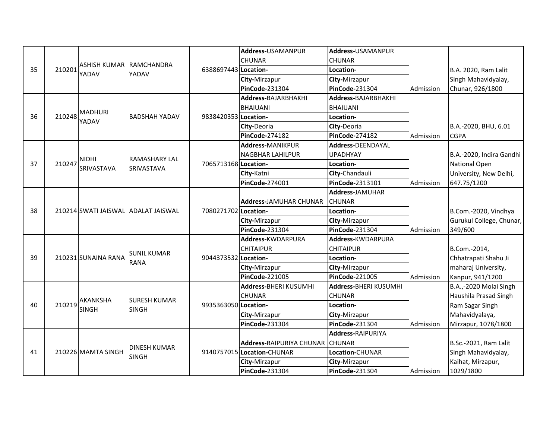|    |        |                         |                                     |                      | Address-USAMANPUR               | Address-USAMANPUR        |           |                          |
|----|--------|-------------------------|-------------------------------------|----------------------|---------------------------------|--------------------------|-----------|--------------------------|
|    |        |                         |                                     |                      | <b>CHUNAR</b>                   | <b>CHUNAR</b>            |           |                          |
| 35 | 210201 | ASHISH KUMAR RAMCHANDRA |                                     | 6388697443 Location- |                                 | Location-                |           | B.A. 2020, Ram Lalit     |
|    |        | YADAV                   | YADAV                               |                      | City-Mirzapur                   | City-Mirzapur            |           | Singh Mahavidyalay,      |
|    |        |                         |                                     |                      | <b>PinCode-231304</b>           | PinCode-231304           | Admission | Chunar, 926/1800         |
|    |        |                         |                                     |                      | Address-BAJARBHAKHI             | Address-BAJARBHAKHI      |           |                          |
|    |        | <b>MADHURI</b>          |                                     |                      | <b>BHAIUANI</b>                 | <b>BHAIUANI</b>          |           |                          |
| 36 | 210248 | YADAV                   | <b>BADSHAH YADAV</b>                | 9838420353 Location- |                                 | Location-                |           |                          |
|    |        |                         |                                     |                      | City-Deoria                     | City-Deoria              |           | B.A.-2020, BHU, 6.01     |
|    |        |                         |                                     |                      | <b>PinCode-274182</b>           | <b>PinCode-274182</b>    | Admission | <b>CGPA</b>              |
|    |        |                         |                                     |                      | <b>Address-MANIKPUR</b>         | <b>Address-DEENDAYAL</b> |           |                          |
|    |        | <b>NIDHI</b>            | RAMASHARY LAL                       |                      | <b>NAGBHAR LAHILPUR</b>         | <b>UPADHYAY</b>          |           | B.A.-2020, Indira Gandhi |
| 37 | 210247 | <b>SRIVASTAVA</b>       | <b>SRIVASTAVA</b>                   | 7065713168 Location- |                                 | Location-                |           | National Open            |
|    |        |                         |                                     |                      | City-Katni                      | City-Chandauli           |           | University, New Delhi,   |
|    |        |                         |                                     |                      | <b>PinCode-274001</b>           | PinCode-2313101          | Admission | 647.75/1200              |
|    |        |                         | 210214 SWATI JAISWAL ADALAT JAISWAL | 7080271702 Location- |                                 | Address-JAMUHAR          |           |                          |
|    |        |                         |                                     |                      | <b>Address-JAMUHAR CHUNAR</b>   | <b>CHUNAR</b>            |           |                          |
| 38 |        |                         |                                     |                      |                                 | Location-                |           | B.Com.-2020, Vindhya     |
|    |        |                         |                                     |                      | City-Mirzapur                   | City-Mirzapur            |           | Gurukul College, Chunar, |
|    |        |                         |                                     |                      | <b>PinCode-231304</b>           | <b>PinCode-231304</b>    | Admission | 349/600                  |
|    |        |                         |                                     |                      | Address-KWDARPURA               | Address-KWDARPURA        |           |                          |
|    |        |                         | <b>SUNIL KUMAR</b>                  |                      | <b>CHITAIPUR</b>                | <b>CHITAIPUR</b>         |           | B.Com.-2014,             |
| 39 |        | 210231 SUNAINA RANA     | <b>RANA</b>                         | 9044373532 Location- |                                 | Location-                |           | Chhatrapati Shahu Ji     |
|    |        |                         |                                     |                      | City-Mirzapur                   | City-Mirzapur            |           | maharaj University,      |
|    |        |                         |                                     |                      | <b>PinCode-221005</b>           | PinCode-221005           | Admission | Kanpur, 941/1200         |
|    |        |                         |                                     |                      | Address-BHERI KUSUMHI           | Address-BHERI KUSUMHI    |           | B.A.,-2020 Molai Singh   |
|    |        | <b>AKANKSHA</b>         | <b>SURESH KUMAR</b>                 |                      | <b>CHUNAR</b>                   | <b>CHUNAR</b>            |           | Haushila Prasad Singh    |
| 40 | 210219 | <b>SINGH</b>            | <b>SINGH</b>                        | 9935363050 Location- |                                 | Location-                |           | Ram Sagar Singh          |
|    |        |                         |                                     |                      | City-Mirzapur                   | City-Mirzapur            |           | Mahavidyalaya,           |
|    |        |                         |                                     |                      | <b>PinCode-231304</b>           | <b>PinCode-231304</b>    | Admission | Mirzapur, 1078/1800      |
|    |        |                         |                                     |                      |                                 | <b>Address-RAIPURIYA</b> |           |                          |
|    |        |                         | <b>DINESH KUMAR</b>                 |                      | Address-RAIPURIYA CHUNAR CHUNAR |                          |           | B.Sc.-2021, Ram Lalit    |
| 41 |        | 210226 MAMTA SINGH      | <b>SINGH</b>                        |                      | 9140757015 Location-CHUNAR      | Location-CHUNAR          |           | Singh Mahavidyalay,      |
|    |        |                         |                                     |                      | City-Mirzapur                   | City-Mirzapur            |           | Kaihat, Mirzapur,        |
|    |        |                         |                                     |                      | PinCode-231304                  | <b>PinCode-231304</b>    | Admission | 1029/1800                |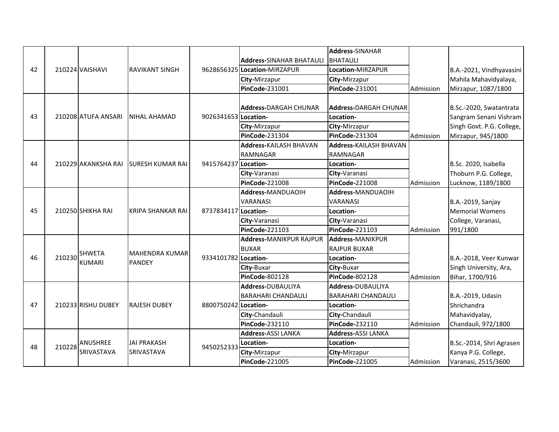|    |        |                     |                                 |                      |                                 | <b>Address-SINAHAR</b>        |           |                           |
|----|--------|---------------------|---------------------------------|----------------------|---------------------------------|-------------------------------|-----------|---------------------------|
|    |        |                     |                                 |                      | <b>Address-SINAHAR BHATAULI</b> | <b>BHATAULI</b>               |           |                           |
| 42 |        | 210224 VAISHAVI     | <b>RAVIKANT SINGH</b>           |                      | 9628656325 Location-MIRZAPUR    | Location-MIRZAPUR             |           | B.A.-2021, Vindhyavasini  |
|    |        |                     |                                 |                      | City-Mirzapur                   | City-Mirzapur                 |           | Mahila Mahavidyalaya,     |
|    |        |                     |                                 |                      | <b>PinCode-231001</b>           | PinCode-231001                | Admission | Mirzapur, 1087/1800       |
|    |        |                     |                                 |                      |                                 |                               |           |                           |
|    |        |                     |                                 |                      | <b>Address-DARGAH CHUNAR</b>    | <b>Address-DARGAH CHUNAR</b>  |           | B.Sc.-2020, Swatantrata   |
| 43 |        | 210208 ATUFA ANSARI | NIHAL AHAMAD                    | 9026341653 Location- |                                 | Location-                     |           | Sangram Senani Vishram    |
|    |        |                     |                                 |                      | City-Mirzapur                   | City-Mirzapur                 |           | Singh Govt. P.G. College, |
|    |        |                     |                                 |                      | <b>PinCode-231304</b>           | <b>PinCode-231304</b>         | Admission | Mirzapur, 945/1800        |
|    |        |                     |                                 |                      | <b>Address-KAILASH BHAVAN</b>   | <b>Address-KAILASH BHAVAN</b> |           |                           |
|    |        |                     |                                 |                      | <b>RAMNAGAR</b>                 | <b>RAMNAGAR</b>               |           |                           |
| 44 |        | 210229 AKANKSHA RAI | <b>ISURESH KUMAR RAI</b>        | 9415764237 Location- |                                 | Location-                     |           | B.Sc. 2020, Isabella      |
|    |        |                     |                                 |                      | City-Varanasi                   | City-Varanasi                 |           | Thoburn P.G. College,     |
|    |        |                     |                                 |                      | <b>PinCode-221008</b>           | <b>PinCode-221008</b>         | Admission | Lucknow, 1189/1800        |
|    |        |                     |                                 |                      | Address-MANDUAOIH               | Address-MANDUAOIH             |           |                           |
|    |        |                     |                                 |                      | <b>VARANASI</b>                 | VARANASI                      |           | B.A.-2019, Sanjay         |
| 45 |        | 210250 SHIKHA RAI   | KRIPA SHANKAR RAI               | 8737834117 Location- |                                 | Location-                     |           | <b>Memorial Womens</b>    |
|    |        |                     |                                 |                      | City-Varanasi                   | City-Varanasi                 |           | College, Varanasi,        |
|    |        |                     |                                 |                      | PinCode-221103                  | PinCode-221103                | Admission | 991/1800                  |
|    |        |                     |                                 |                      | <b>Address-MANIKPUR RAJPUR</b>  | Address-MANIKPUR              |           |                           |
|    |        | <b>SHWETA</b>       |                                 |                      | <b>BUXAR</b>                    | <b>RAJPUR BUXAR</b>           |           |                           |
| 46 | 210230 | <b>KUMARI</b>       | MAHENDRA KUMAR<br><b>PANDEY</b> | 9334101782 Location- |                                 | Location-                     |           | B.A.-2018, Veer Kunwar    |
|    |        |                     |                                 |                      | City-Buxar                      | City-Buxar                    |           | Singh University, Ara,    |
|    |        |                     |                                 |                      | <b>PinCode-802128</b>           | <b>PinCode-802128</b>         | Admission | Bihar, 1700/916           |
|    |        |                     |                                 |                      | Address-DUBAULIYA               | Address-DUBAULIYA             |           |                           |
|    |        |                     |                                 |                      | <b>BARAHARI CHANDAULI</b>       | <b>BARAHARI CHANDAULI</b>     |           | B.A.-2019, Udasin         |
| 47 |        | 210233 RISHU DUBEY  | <b>RAJESH DUBEY</b>             | 8800750242 Location- |                                 | Location-                     |           | Shrichandra               |
|    |        |                     |                                 |                      | City-Chandauli                  | City-Chandauli                |           | Mahavidyalay,             |
|    |        |                     |                                 |                      | <b>PinCode-232110</b>           | PinCode-232110                | Admission | Chandauli, 972/1800       |
|    |        |                     |                                 |                      | <b>Address-ASSI LANKA</b>       | <b>Address-ASSI LANKA</b>     |           |                           |
| 48 | 210228 | <b>ANUSHREE</b>     | <b>JAI PRAKASH</b>              | 9450252333           | Location-                       | Location-                     |           | B.Sc.-2014, Shri Agrasen  |
|    |        | SRIVASTAVA          | <b>SRIVASTAVA</b>               |                      | City-Mirzapur                   | City-Mirzapur                 |           | Kanya P.G. College,       |
|    |        |                     |                                 |                      | PinCode-221005                  | PinCode-221005                | Admission | Varanasi, 2515/3600       |